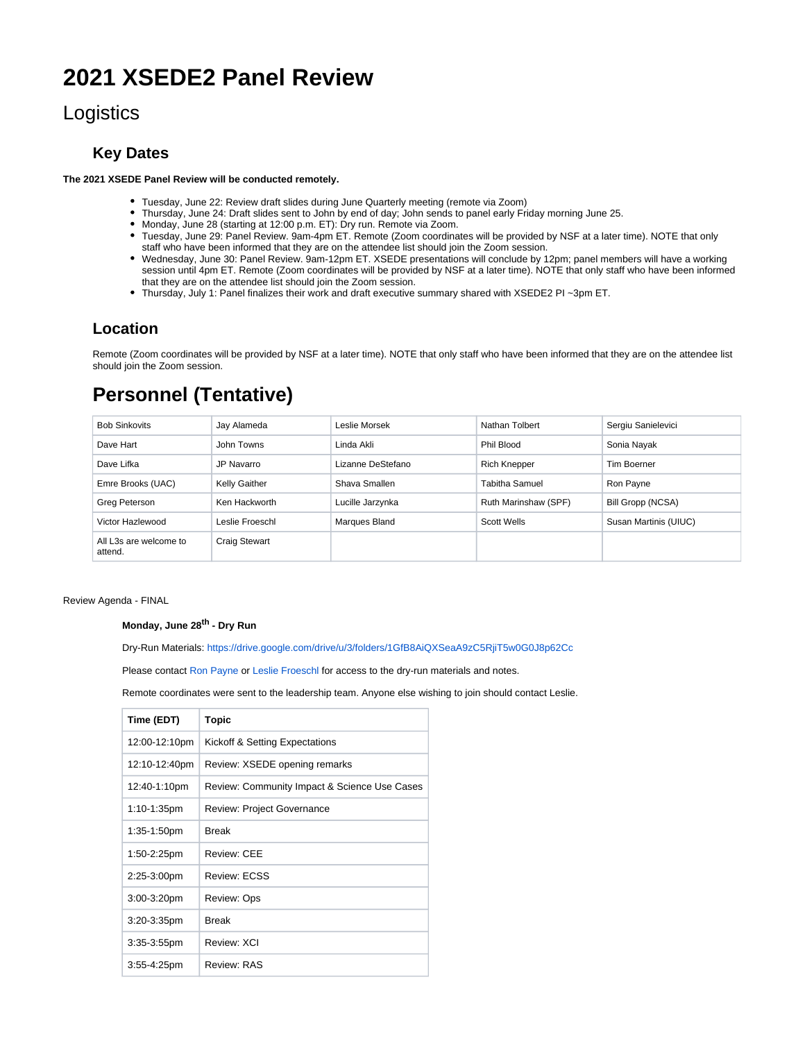# **2021 XSEDE2 Panel Review**

## **Logistics**

### **Key Dates**

**The 2021 XSEDE Panel Review will be conducted remotely.** 

- Tuesday, June 22: Review draft slides during June Quarterly meeting (remote via Zoom)
- Thursday, June 24: Draft slides sent to John by end of day; John sends to panel early Friday morning June 25.
- Monday, June 28 (starting at 12:00 p.m. ET): Dry run. Remote via Zoom.
- Tuesday, June 29: Panel Review. 9am-4pm ET. Remote (Zoom coordinates will be provided by NSF at a later time). NOTE that only staff who have been informed that they are on the attendee list should join the Zoom session.
- Wednesday, June 30: Panel Review. 9am-12pm ET. XSEDE presentations will conclude by 12pm; panel members will have a working session until 4pm ET. Remote (Zoom coordinates will be provided by NSF at a later time). NOTE that only staff who have been informed that they are on the attendee list should join the Zoom session.
- Thursday, July 1: Panel finalizes their work and draft executive summary shared with XSEDE2 PI ~3pm ET.

### **Location**

Remote (Zoom coordinates will be provided by NSF at a later time). NOTE that only staff who have been informed that they are on the attendee list should join the Zoom session.

# **Personnel (Tentative)**

| <b>Bob Sinkovits</b>              | Jay Alameda          | Leslie Morsek     | Nathan Tolbert        | Sergiu Sanielevici    |
|-----------------------------------|----------------------|-------------------|-----------------------|-----------------------|
| Dave Hart                         | John Towns           | Linda Akli        | Phil Blood            | Sonia Nayak           |
| Dave Lifka                        | JP Navarro           | Lizanne DeStefano | <b>Rich Knepper</b>   | Tim Boerner           |
| Emre Brooks (UAC)                 | <b>Kelly Gaither</b> | Shava Smallen     | <b>Tabitha Samuel</b> | Ron Payne             |
| Greg Peterson                     | Ken Hackworth        | Lucille Jarzynka  | Ruth Marinshaw (SPF)  | Bill Gropp (NCSA)     |
| Victor Hazlewood                  | Leslie Froeschl      | Marques Bland     | <b>Scott Wells</b>    | Susan Martinis (UIUC) |
| All L3s are welcome to<br>attend. | <b>Craig Stewart</b> |                   |                       |                       |

Review Agenda - FINAL

#### **Monday, June 28<sup>th</sup> - Dry Run**

Dry-Run Materials: <https://drive.google.com/drive/u/3/folders/1GfB8AiQXSeaA9zC5RjiT5w0G0J8p62Cc>

Please contact [Ron Payne](https://confluence.xsede.org/display/~rpayne) or [Leslie Froeschl](https://confluence.xsede.org/display/~lfroesch) for access to the dry-run materials and notes.

Remote coordinates were sent to the leadership team. Anyone else wishing to join should contact Leslie.

| Time (EDT)     | Topic                                        |
|----------------|----------------------------------------------|
| 12:00-12:10pm  | Kickoff & Setting Expectations               |
| 12:10-12:40pm  | Review: XSEDE opening remarks                |
| 12:40-1:10pm   | Review: Community Impact & Science Use Cases |
| 1:10-1:35pm    | <b>Review: Project Governance</b>            |
| 1:35-1:50pm    | <b>Break</b>                                 |
| 1:50-2:25pm    | Review: CEE                                  |
| 2:25-3:00pm    | <b>Review: ECSS</b>                          |
| $3:00-3:20$ pm | Review: Ops                                  |
| 3:20-3:35pm    | <b>Break</b>                                 |
| $3:35-3:55$ pm | Review: XCI                                  |
| 3:55-4:25pm    | Review: RAS                                  |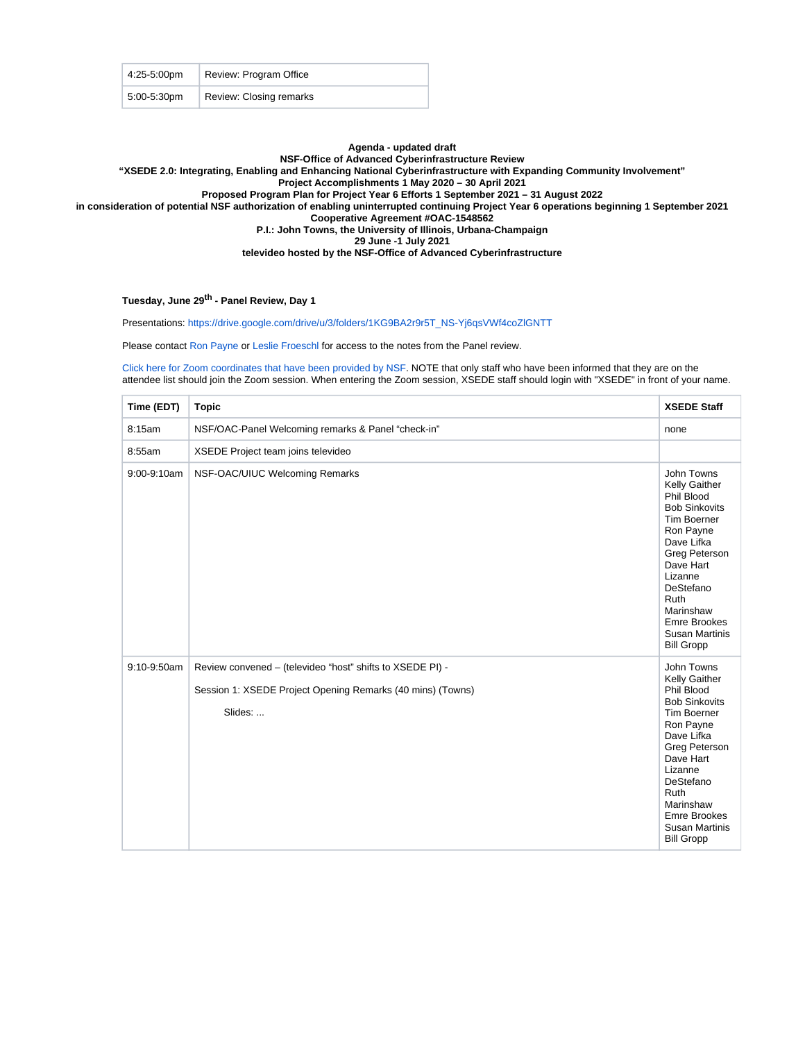| 4:25-5:00pm    | Review: Program Office  |
|----------------|-------------------------|
| $5:00-5:30$ pm | Review: Closing remarks |

#### **Agenda - updated draft**

#### **NSF-Office of Advanced Cyberinfrastructure Review**

**"XSEDE 2.0: Integrating, Enabling and Enhancing National Cyberinfrastructure with Expanding Community Involvement"**

**Project Accomplishments 1 May 2020 – 30 April 2021**

**Proposed Program Plan for Project Year 6 Efforts 1 September 2021 – 31 August 2022**

**in consideration of potential NSF authorization of enabling uninterrupted continuing Project Year 6 operations beginning 1 September 2021**

**Cooperative Agreement #OAC-1548562**

**P.I.: John Towns, the University of Illinois, Urbana-Champaign**

**29 June -1 July 2021**

**televideo hosted by the NSF-Office of Advanced Cyberinfrastructure**

#### Tuesday, June 29<sup>th</sup> - Panel Review, Day 1

Presentations: [https://drive.google.com/drive/u/3/folders/1KG9BA2r9r5T\\_NS-Yj6qsVWf4coZlGNTT](https://drive.google.com/drive/u/3/folders/1KG9BA2r9r5T_NS-Yj6qsVWf4coZlGNTT)

Please contact [Ron Payne](https://confluence.xsede.org/display/~rpayne) or [Leslie Froeschl](https://confluence.xsede.org/display/~lfroesch) for access to the notes from the Panel review.

[Click here for Zoom coordinates that have been provided by NSF.](https://confluence.xsede.org/display/XT/Zoom+Coordinates+for+XSEDE+2021+NSF+Panel+Review) NOTE that only staff who have been informed that they are on the attendee list should join the Zoom session. When entering the Zoom session, XSEDE staff should login with "XSEDE" in front of your name.

| Time (EDT)  | <b>Topic</b>                                                                                                                       | <b>XSEDE Staff</b>                                                                                                                                                                                                                                                        |
|-------------|------------------------------------------------------------------------------------------------------------------------------------|---------------------------------------------------------------------------------------------------------------------------------------------------------------------------------------------------------------------------------------------------------------------------|
| 8:15am      | NSF/OAC-Panel Welcoming remarks & Panel "check-in"                                                                                 | none                                                                                                                                                                                                                                                                      |
| 8:55am      | XSEDE Project team joins televideo                                                                                                 |                                                                                                                                                                                                                                                                           |
| 9:00-9:10am | NSF-OAC/UIUC Welcoming Remarks                                                                                                     | John Towns<br>Kelly Gaither<br>Phil Blood<br><b>Bob Sinkovits</b><br><b>Tim Boerner</b><br>Ron Payne<br>Dave Lifka<br><b>Greg Peterson</b><br>Dave Hart<br>Lizanne<br>DeStefano<br>Ruth<br>Marinshaw<br><b>Emre Brookes</b><br><b>Susan Martinis</b><br><b>Bill Gropp</b> |
| 9:10-9:50am | Review convened - (televideo "host" shifts to XSEDE PI) -<br>Session 1: XSEDE Project Opening Remarks (40 mins) (Towns)<br>Slides: | John Towns<br>Kelly Gaither<br>Phil Blood<br><b>Bob Sinkovits</b><br><b>Tim Boerner</b><br>Ron Payne<br>Dave Lifka<br>Greg Peterson<br>Dave Hart<br>Lizanne<br>DeStefano<br>Ruth<br>Marinshaw<br><b>Emre Brookes</b><br><b>Susan Martinis</b><br><b>Bill Gropp</b>        |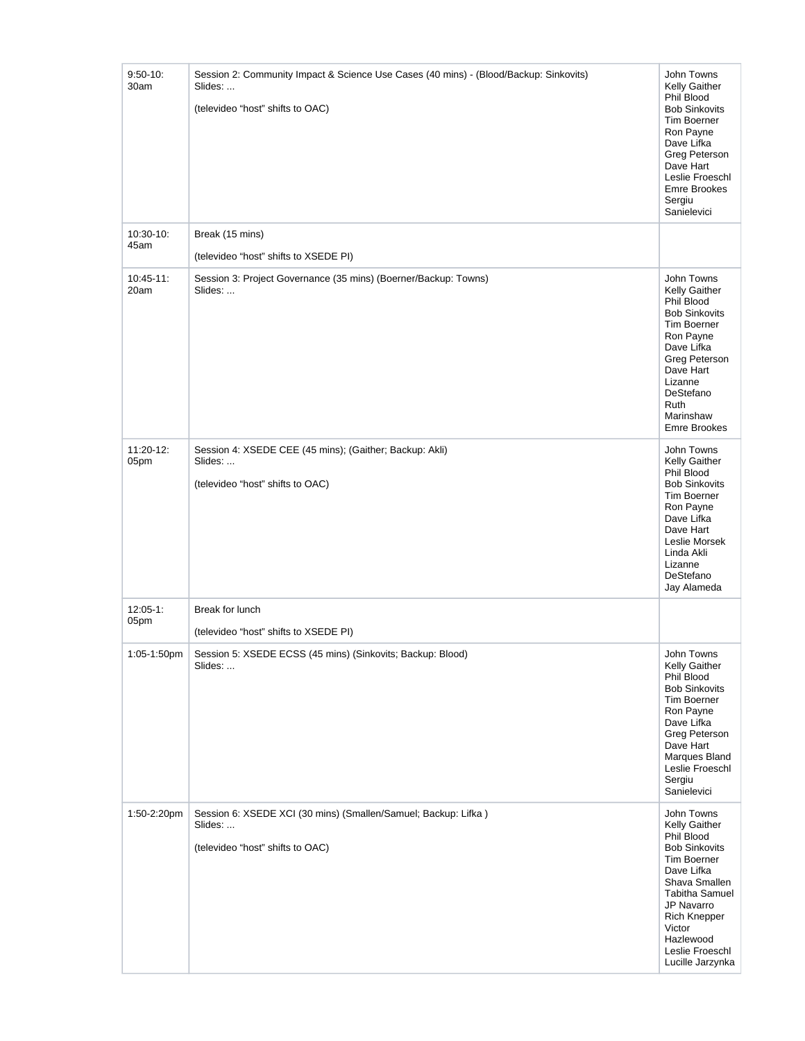| $9:50-10$ :<br>30am  | Session 2: Community Impact & Science Use Cases (40 mins) - (Blood/Backup: Sinkovits)<br>Slides:<br>(televideo "host" shifts to OAC) | John Towns<br>Kelly Gaither<br>Phil Blood<br><b>Bob Sinkovits</b><br>Tim Boerner<br>Ron Payne<br>Dave Lifka<br>Greg Peterson<br>Dave Hart<br>Leslie Froeschl<br><b>Emre Brookes</b><br>Sergiu<br>Sanielevici                                       |
|----------------------|--------------------------------------------------------------------------------------------------------------------------------------|----------------------------------------------------------------------------------------------------------------------------------------------------------------------------------------------------------------------------------------------------|
| 10:30-10:<br>45am    | Break (15 mins)<br>(televideo "host" shifts to XSEDE PI)                                                                             |                                                                                                                                                                                                                                                    |
| $10:45-11$ :<br>20am | Session 3: Project Governance (35 mins) (Boerner/Backup: Towns)<br>Slides:                                                           | John Towns<br>Kelly Gaither<br>Phil Blood<br><b>Bob Sinkovits</b><br>Tim Boerner<br>Ron Payne<br>Dave Lifka<br>Greg Peterson<br>Dave Hart<br>Lizanne<br>DeStefano<br>Ruth<br>Marinshaw<br><b>Emre Brookes</b>                                      |
| 11:20-12:<br>05pm    | Session 4: XSEDE CEE (45 mins); (Gaither; Backup: Akli)<br>Slides:<br>(televideo "host" shifts to OAC)                               | John Towns<br>Kelly Gaither<br>Phil Blood<br><b>Bob Sinkovits</b><br>Tim Boerner<br>Ron Payne<br>Dave Lifka<br>Dave Hart<br>Leslie Morsek<br>Linda Akli<br>Lizanne<br>DeStefano<br>Jay Alameda                                                     |
| $12:05 - 1:$<br>05pm | Break for lunch<br>(televideo "host" shifts to XSEDE PI)                                                                             |                                                                                                                                                                                                                                                    |
| 1:05-1:50pm          | Session 5: XSEDE ECSS (45 mins) (Sinkovits; Backup: Blood)<br>Slides:                                                                | John Towns<br>Kelly Gaither<br>Phil Blood<br><b>Bob Sinkovits</b><br>Tim Boerner<br>Ron Payne<br>Dave Lifka<br>Greg Peterson<br>Dave Hart<br>Marques Bland<br>Leslie Froeschl<br>Sergiu<br>Sanielevici                                             |
| 1:50-2:20pm          | Session 6: XSEDE XCI (30 mins) (Smallen/Samuel; Backup: Lifka)<br>Slides:<br>(televideo "host" shifts to OAC)                        | John Towns<br><b>Kelly Gaither</b><br>Phil Blood<br><b>Bob Sinkovits</b><br>Tim Boerner<br>Dave Lifka<br>Shava Smallen<br><b>Tabitha Samuel</b><br>JP Navarro<br><b>Rich Knepper</b><br>Victor<br>Hazlewood<br>Leslie Froeschl<br>Lucille Jarzynka |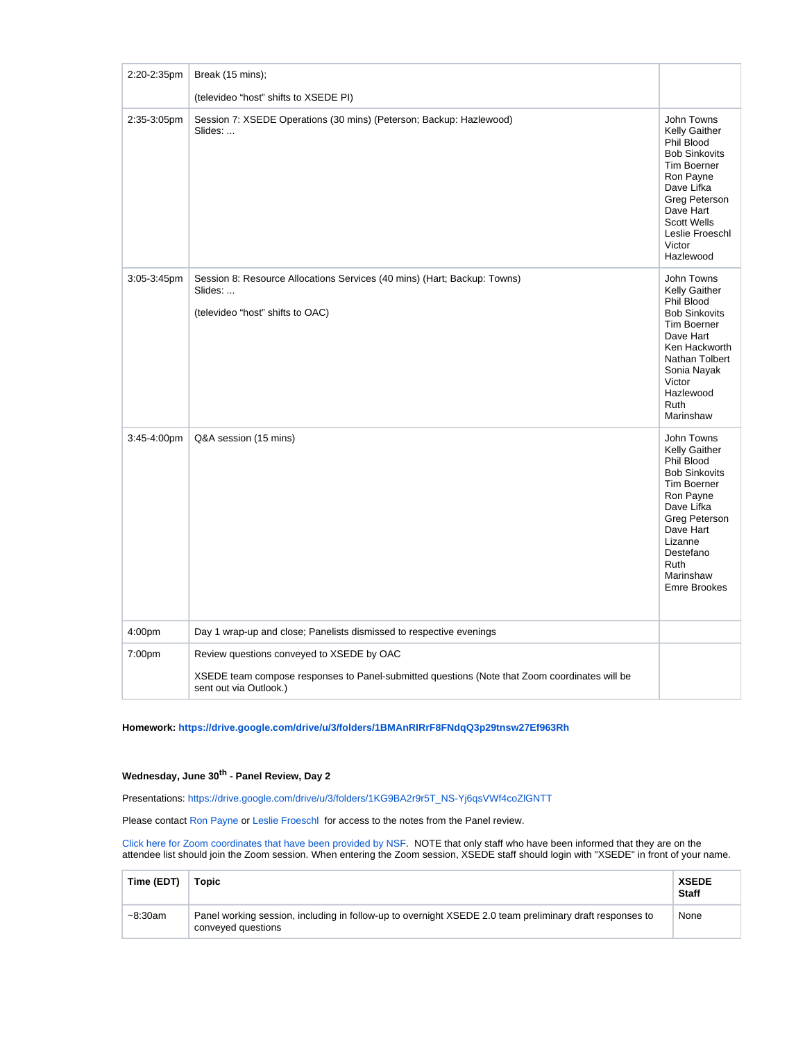| 2:20-2:35pm | Break (15 mins);                                                                                                                                                     |                                                                                                                                                                                                                  |
|-------------|----------------------------------------------------------------------------------------------------------------------------------------------------------------------|------------------------------------------------------------------------------------------------------------------------------------------------------------------------------------------------------------------|
|             | (televideo "host" shifts to XSEDE PI)                                                                                                                                |                                                                                                                                                                                                                  |
| 2:35-3:05pm | Session 7: XSEDE Operations (30 mins) (Peterson; Backup: Hazlewood)<br>Slides:                                                                                       | John Towns<br>Kelly Gaither<br>Phil Blood<br><b>Bob Sinkovits</b><br><b>Tim Boerner</b><br>Ron Payne<br>Dave Lifka<br>Greg Peterson<br>Dave Hart<br><b>Scott Wells</b><br>Leslie Froeschl<br>Victor<br>Hazlewood |
| 3:05-3:45pm | Session 8: Resource Allocations Services (40 mins) (Hart; Backup: Towns)<br>Slides:<br>(televideo "host" shifts to OAC)                                              | John Towns<br>Kelly Gaither<br>Phil Blood<br><b>Bob Sinkovits</b><br>Tim Boerner<br>Dave Hart<br>Ken Hackworth<br>Nathan Tolbert<br>Sonia Nayak<br>Victor<br>Hazlewood<br>Ruth<br>Marinshaw                      |
| 3:45-4:00pm | Q&A session (15 mins)                                                                                                                                                | John Towns<br>Kelly Gaither<br>Phil Blood<br><b>Bob Sinkovits</b><br>Tim Boerner<br>Ron Payne<br>Dave Lifka<br>Greg Peterson<br>Dave Hart<br>Lizanne<br>Destefano<br>Ruth<br>Marinshaw<br><b>Emre Brookes</b>    |
| 4:00pm      | Day 1 wrap-up and close; Panelists dismissed to respective evenings                                                                                                  |                                                                                                                                                                                                                  |
| 7:00pm      | Review questions conveyed to XSEDE by OAC<br>XSEDE team compose responses to Panel-submitted questions (Note that Zoom coordinates will be<br>sent out via Outlook.) |                                                                                                                                                                                                                  |

**Homework: <https://drive.google.com/drive/u/3/folders/1BMAnRIRrF8FNdqQ3p29tnsw27Ef963Rh>**

#### **Wednesday, June 30<sup>th</sup> - Panel Review, Day 2**

Presentations: [https://drive.google.com/drive/u/3/folders/1KG9BA2r9r5T\\_NS-Yj6qsVWf4coZlGNTT](https://drive.google.com/drive/u/3/folders/1KG9BA2r9r5T_NS-Yj6qsVWf4coZlGNTT)

Please contact [Ron Payne](https://confluence.xsede.org/display/~rpayne) or [Leslie Froeschl](https://confluence.xsede.org/display/~lfroesch) for access to the notes from the Panel review.

[Click here for Zoom coordinates that have been provided by NSF.](https://confluence.xsede.org/display/XT/Zoom+Coordinates+for+XSEDE+2021+NSF+Panel+Review) NOTE that only staff who have been informed that they are on the attendee list should join the Zoom session. When entering the Zoom session, XSEDE staff should login with "XSEDE" in front of your name.

| Time (EDT)    | Topic                                                                                                                          | <b>XSEDE</b><br><b>Staff</b> |
|---------------|--------------------------------------------------------------------------------------------------------------------------------|------------------------------|
| $~10-8:30$ am | Panel working session, including in follow-up to overnight XSEDE 2.0 team preliminary draft responses to<br>conveyed questions | None                         |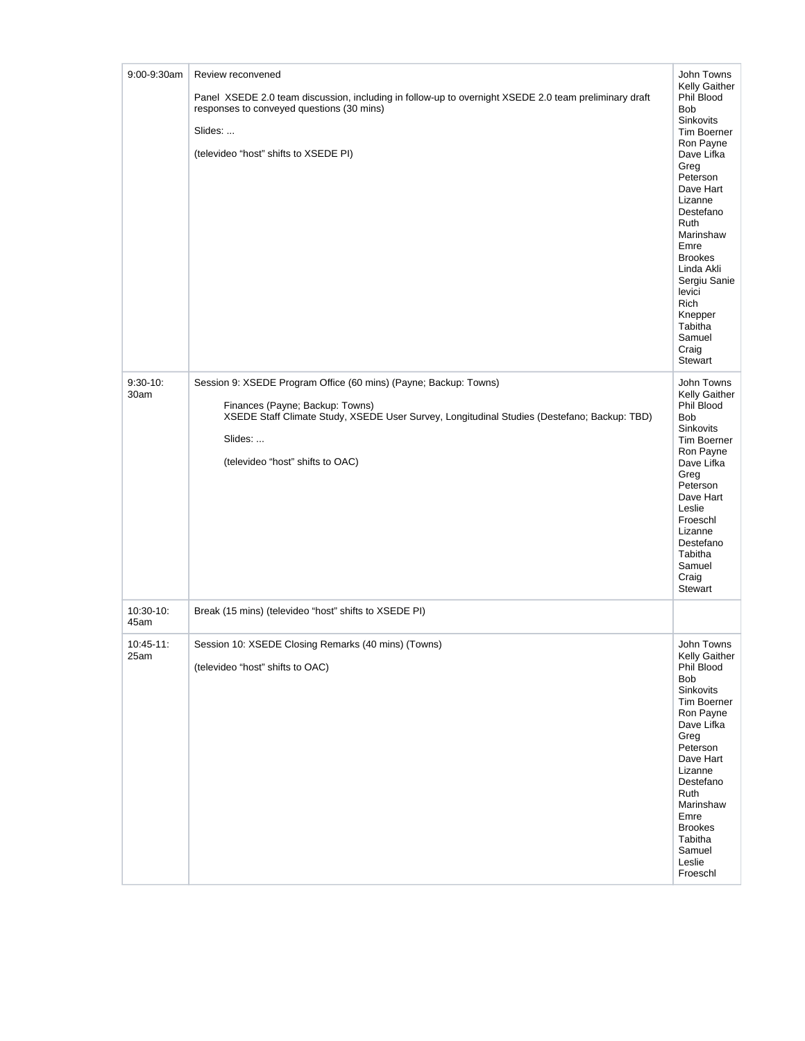| 9:00-9:30am           | Review reconvened                                                                                                                                                                                                                                 | John Towns                                                                                                                                                                                                                                                                                                   |
|-----------------------|---------------------------------------------------------------------------------------------------------------------------------------------------------------------------------------------------------------------------------------------------|--------------------------------------------------------------------------------------------------------------------------------------------------------------------------------------------------------------------------------------------------------------------------------------------------------------|
|                       | Panel XSEDE 2.0 team discussion, including in follow-up to overnight XSEDE 2.0 team preliminary draft<br>responses to conveyed questions (30 mins)<br>Slides:<br>(televideo "host" shifts to XSEDE PI)                                            | Kelly Gaither<br>Phil Blood<br>Bob<br>Sinkovits<br><b>Tim Boerner</b><br>Ron Payne<br>Dave Lifka<br>Greg<br>Peterson<br>Dave Hart<br>Lizanne<br>Destefano<br>Ruth<br>Marinshaw<br>Emre<br><b>Brookes</b><br>Linda Akli<br>Sergiu Sanie<br>levici<br>Rich<br>Knepper<br>Tabitha<br>Samuel<br>Craig<br>Stewart |
| $9:30-10$ :<br>30am   | Session 9: XSEDE Program Office (60 mins) (Payne; Backup: Towns)<br>Finances (Payne; Backup: Towns)<br>XSEDE Staff Climate Study, XSEDE User Survey, Longitudinal Studies (Destefano; Backup: TBD)<br>Slides:<br>(televideo "host" shifts to OAC) | John Towns<br>Kelly Gaither<br>Phil Blood<br><b>Bob</b><br>Sinkovits<br>Tim Boerner<br>Ron Payne<br>Dave Lifka<br>Greg<br>Peterson<br>Dave Hart<br>Leslie<br>Froeschl<br>Lizanne<br>Destefano<br>Tabitha<br>Samuel<br>Craig<br><b>Stewart</b>                                                                |
| 10:30-10:<br>45am     | Break (15 mins) (televideo "host" shifts to XSEDE PI)                                                                                                                                                                                             |                                                                                                                                                                                                                                                                                                              |
| $10:45 - 11:$<br>25am | Session 10: XSEDE Closing Remarks (40 mins) (Towns)<br>(televideo "host" shifts to OAC)                                                                                                                                                           | John Towns<br>Kelly Gaither<br>Phil Blood<br><b>Bob</b><br>Sinkovits<br>Tim Boerner<br>Ron Payne<br>Dave Lifka<br>Greg<br>Peterson<br>Dave Hart<br>Lizanne<br>Destefano<br>Ruth<br>Marinshaw<br>Emre<br><b>Brookes</b><br>Tabitha<br>Samuel<br>Leslie<br>Froeschl                                            |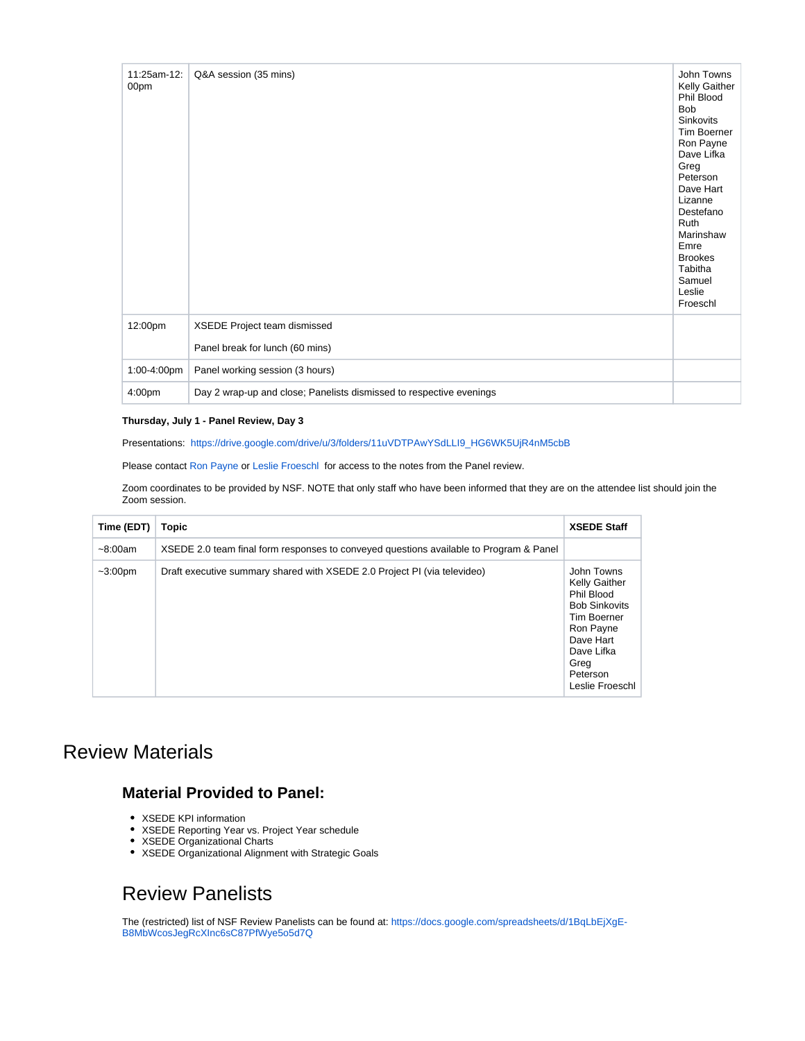| 11:25am-12:<br>00pm | Q&A session (35 mins)                                               | John Towns<br>Kelly Gaither<br>Phil Blood<br><b>Bob</b><br>Sinkovits<br>Tim Boerner<br>Ron Payne<br>Dave Lifka<br>Greg<br>Peterson<br>Dave Hart<br>Lizanne<br>Destefano<br>Ruth<br>Marinshaw<br>Emre<br><b>Brookes</b><br>Tabitha<br>Samuel<br>Leslie<br>Froeschl |
|---------------------|---------------------------------------------------------------------|-------------------------------------------------------------------------------------------------------------------------------------------------------------------------------------------------------------------------------------------------------------------|
| 12:00pm             | XSEDE Project team dismissed                                        |                                                                                                                                                                                                                                                                   |
|                     | Panel break for lunch (60 mins)                                     |                                                                                                                                                                                                                                                                   |
| 1:00-4:00pm         | Panel working session (3 hours)                                     |                                                                                                                                                                                                                                                                   |
| 4:00pm              | Day 2 wrap-up and close; Panelists dismissed to respective evenings |                                                                                                                                                                                                                                                                   |

#### **Thursday, July 1 - Panel Review, Day 3**

Presentations: [https://drive.google.com/drive/u/3/folders/11uVDTPAwYSdLLI9\\_HG6WK5UjR4nM5cbB](https://drive.google.com/drive/u/3/folders/11uVDTPAwYSdLLI9_HG6WK5UjR4nM5cbB)

Please contact [Ron Payne](https://confluence.xsede.org/display/~rpayne) or [Leslie Froeschl](https://confluence.xsede.org/display/~lfroesch) for access to the notes from the Panel review.

Zoom coordinates to be provided by NSF. NOTE that only staff who have been informed that they are on the attendee list should join the Zoom session.

| Time (EDT) | Topic                                                                                  | <b>XSEDE Staff</b>                                                                                                                                                     |
|------------|----------------------------------------------------------------------------------------|------------------------------------------------------------------------------------------------------------------------------------------------------------------------|
| ~100cm     | XSEDE 2.0 team final form responses to conveyed questions available to Program & Panel |                                                                                                                                                                        |
| $~100$ pm  | Draft executive summary shared with XSEDE 2.0 Project PI (via televideo)               | John Towns<br><b>Kelly Gaither</b><br>Phil Blood<br><b>Bob Sinkovits</b><br>Tim Boerner<br>Ron Payne<br>Dave Hart<br>Dave Lifka<br>Greg<br>Peterson<br>Leslie Froeschl |

## Review Materials

### **Material Provided to Panel:**

- XSEDE KPI information
- XSEDE Reporting Year vs. Project Year schedule
- XSEDE Organizational Charts
- XSEDE Organizational Alignment with Strategic Goals

# Review Panelists

The (restricted) list of NSF Review Panelists can be found at: [https://docs.google.com/spreadsheets/d/1BqLbEjXgE-](https://docs.google.com/spreadsheets/d/1BqLbEjXgE-B8MbWcosJegRcXInc6sC87PfWye5o5d7Q/edit#gid=0)[B8MbWcosJegRcXInc6sC87PfWye5o5d7Q](https://docs.google.com/spreadsheets/d/1BqLbEjXgE-B8MbWcosJegRcXInc6sC87PfWye5o5d7Q/edit#gid=0)